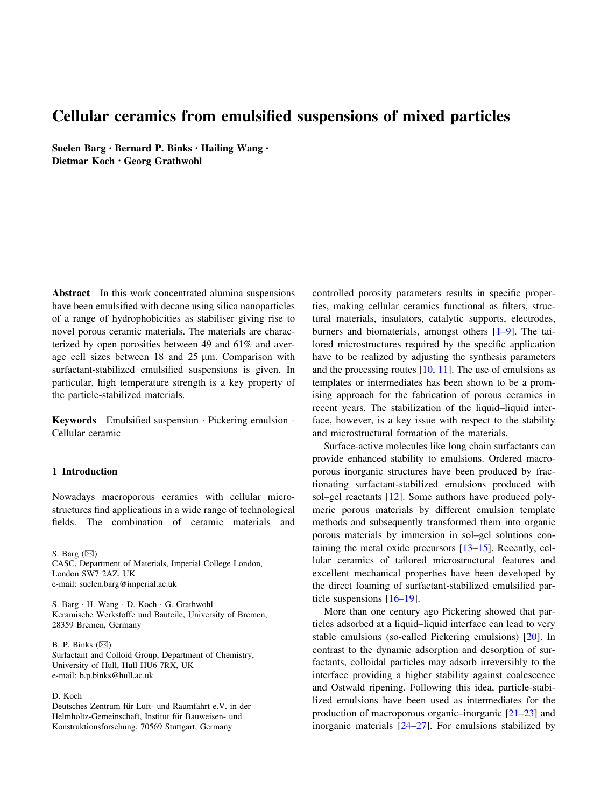# Cellular ceramics from emulsified suspensions of mixed particles

Suelen Barg • Bernard P. Binks • Hailing Wang • Dietmar Koch • Georg Grathwohl

Abstract In this work concentrated alumina suspensions have been emulsified with decane using silica nanoparticles of a range of hydrophobicities as stabiliser giving rise to novel porous ceramic materials. The materials are characterized by open porosities between 49 and 61% and average cell sizes between  $18$  and  $25 \mu m$ . Comparison with surfactant-stabilized emulsified suspensions is given. In particular, high temperature strength is a key property of the particle-stabilized materials.

Keywords Emulsified suspension · Pickering emulsion · Cellular ceramic

#### 1 Introduction

Nowadays macroporous ceramics with cellular microstructures find applications in a wide range of technological fields. The combination of ceramic materials and

S. Barg  $(\boxtimes)$ CASC, Department of Materials, Imperial College London, London SW7 2AZ, UK e-mail: suelen.barg@imperial.ac.uk

S. Barg - H. Wang - D. Koch - G. Grathwohl Keramische Werkstoffe und Bauteile, University of Bremen, 28359 Bremen, Germany

B. P. Binks  $(\boxtimes)$ Surfactant and Colloid Group, Department of Chemistry, University of Hull, Hull HU6 7RX, UK e-mail: b.p.binks@hull.ac.uk

## D. Koch

Deutsches Zentrum für Luft- und Raumfahrt e.V. in der Helmholtz-Gemeinschaft, Institut für Bauweisen- und Konstruktionsforschung, 70569 Stuttgart, Germany

controlled porosity parameters results in specific properties, making cellular ceramics functional as filters, structural materials, insulators, catalytic supports, electrodes, burners and biomaterials, amongst others [[1–](#page-7-0)[9\]](#page-8-0). The tailored microstructures required by the specific application have to be realized by adjusting the synthesis parameters and the processing routes  $[10, 11]$  $[10, 11]$  $[10, 11]$  $[10, 11]$  $[10, 11]$ . The use of emulsions as templates or intermediates has been shown to be a promising approach for the fabrication of porous ceramics in recent years. The stabilization of the liquid–liquid interface, however, is a key issue with respect to the stability and microstructural formation of the materials.

Surface-active molecules like long chain surfactants can provide enhanced stability to emulsions. Ordered macroporous inorganic structures have been produced by fractionating surfactant-stabilized emulsions produced with sol–gel reactants [\[12](#page-8-0)]. Some authors have produced polymeric porous materials by different emulsion template methods and subsequently transformed them into organic porous materials by immersion in sol–gel solutions containing the metal oxide precursors [\[13–15](#page-8-0)]. Recently, cellular ceramics of tailored microstructural features and excellent mechanical properties have been developed by the direct foaming of surfactant-stabilized emulsified particle suspensions [\[16–19](#page-8-0)].

More than one century ago Pickering showed that particles adsorbed at a liquid–liquid interface can lead to very stable emulsions (so-called Pickering emulsions) [[20\]](#page-8-0). In contrast to the dynamic adsorption and desorption of surfactants, colloidal particles may adsorb irreversibly to the interface providing a higher stability against coalescence and Ostwald ripening. Following this idea, particle-stabilized emulsions have been used as intermediates for the production of macroporous organic–inorganic [\[21–23](#page-8-0)] and inorganic materials [[24–27\]](#page-8-0). For emulsions stabilized by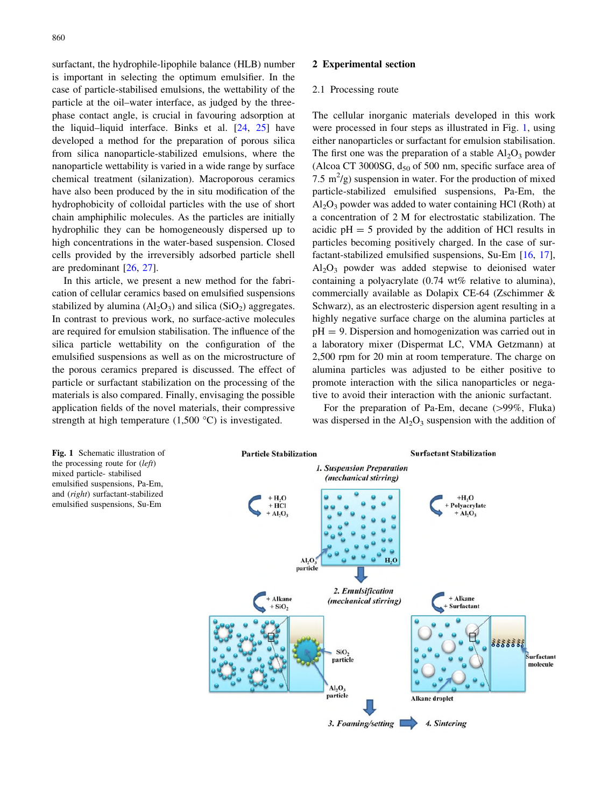surfactant, the hydrophile-lipophile balance (HLB) number is important in selecting the optimum emulsifier. In the case of particle-stabilised emulsions, the wettability of the particle at the oil–water interface, as judged by the threephase contact angle, is crucial in favouring adsorption at the liquid–liquid interface. Binks et al. [\[24](#page-8-0), [25\]](#page-8-0) have developed a method for the preparation of porous silica from silica nanoparticle-stabilized emulsions, where the nanoparticle wettability is varied in a wide range by surface chemical treatment (silanization). Macroporous ceramics have also been produced by the in situ modification of the hydrophobicity of colloidal particles with the use of short chain amphiphilic molecules. As the particles are initially hydrophilic they can be homogeneously dispersed up to high concentrations in the water-based suspension. Closed cells provided by the irreversibly adsorbed particle shell are predominant [[26,](#page-8-0) [27\]](#page-8-0).

In this article, we present a new method for the fabrication of cellular ceramics based on emulsified suspensions stabilized by alumina  $(Al_2O_3)$  and silica  $(SiO_2)$  aggregates. In contrast to previous work, no surface-active molecules are required for emulsion stabilisation. The influence of the silica particle wettability on the configuration of the emulsified suspensions as well as on the microstructure of the porous ceramics prepared is discussed. The effect of particle or surfactant stabilization on the processing of the materials is also compared. Finally, envisaging the possible application fields of the novel materials, their compressive strength at high temperature  $(1,500 \degree C)$  is investigated.

#### 2 Experimental section

#### 2.1 Processing route

The cellular inorganic materials developed in this work were processed in four steps as illustrated in Fig. 1, using either nanoparticles or surfactant for emulsion stabilisation. The first one was the preparation of a stable  $Al_2O_3$  powder (Alcoa CT 3000SG,  $d_{50}$  of 500 nm, specific surface area of 7.5  $\mathrm{m}^2$ /g) suspension in water. For the production of mixed particle-stabilized emulsified suspensions, Pa-Em, the  $Al_2O_3$  powder was added to water containing HCl (Roth) at a concentration of 2 M for electrostatic stabilization. The acidic  $pH = 5$  provided by the addition of HCl results in particles becoming positively charged. In the case of surfactant-stabilized emulsified suspensions, Su-Em [\[16](#page-8-0), [17](#page-8-0)],  $Al_2O_3$  powder was added stepwise to deionised water containing a polyacrylate (0.74 wt% relative to alumina), commercially available as Dolapix CE-64 (Zschimmer & Schwarz), as an electrosteric dispersion agent resulting in a highly negative surface charge on the alumina particles at  $pH = 9$ . Dispersion and homogenization was carried out in a laboratory mixer (Dispermat LC, VMA Getzmann) at 2,500 rpm for 20 min at room temperature. The charge on alumina particles was adjusted to be either positive to promote interaction with the silica nanoparticles or negative to avoid their interaction with the anionic surfactant.

For the preparation of Pa-Em, decane  $(>99\%$ , Fluka) was dispersed in the  $Al_2O_3$  suspension with the addition of

Fig. 1 Schematic illustration of the processing route for (left) mixed particle- stabilised emulsified suspensions, Pa-Em, and (right) surfactant-stabilized emulsified suspensions, Su-Em

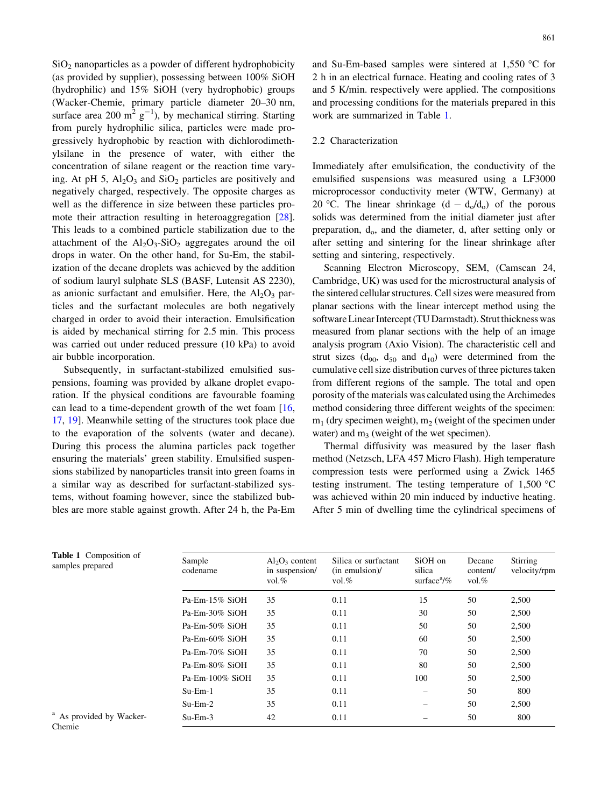<span id="page-2-0"></span> $SiO<sub>2</sub>$  nanoparticles as a powder of different hydrophobicity (as provided by supplier), possessing between 100% SiOH (hydrophilic) and 15% SiOH (very hydrophobic) groups (Wacker-Chemie, primary particle diameter 20–30 nm, surface area 200 m<sup>2</sup>  $g^{-1}$ ), by mechanical stirring. Starting from purely hydrophilic silica, particles were made progressively hydrophobic by reaction with dichlorodimethylsilane in the presence of water, with either the concentration of silane reagent or the reaction time varying. At pH 5,  $Al_2O_3$  and  $SiO_2$  particles are positively and negatively charged, respectively. The opposite charges as well as the difference in size between these particles promote their attraction resulting in heteroaggregation [\[28](#page-8-0)]. This leads to a combined particle stabilization due to the attachment of the  $Al_2O_3-SiO_2$  aggregates around the oil drops in water. On the other hand, for Su-Em, the stabilization of the decane droplets was achieved by the addition of sodium lauryl sulphate SLS (BASF, Lutensit AS 2230), as anionic surfactant and emulsifier. Here, the  $Al_2O_3$  particles and the surfactant molecules are both negatively charged in order to avoid their interaction. Emulsification is aided by mechanical stirring for 2.5 min. This process was carried out under reduced pressure (10 kPa) to avoid air bubble incorporation.

Subsequently, in surfactant-stabilized emulsified suspensions, foaming was provided by alkane droplet evaporation. If the physical conditions are favourable foaming can lead to a time-dependent growth of the wet foam [[16,](#page-8-0) [17](#page-8-0), [19](#page-8-0)]. Meanwhile setting of the structures took place due to the evaporation of the solvents (water and decane). During this process the alumina particles pack together ensuring the materials' green stability. Emulsified suspensions stabilized by nanoparticles transit into green foams in a similar way as described for surfactant-stabilized systems, without foaming however, since the stabilized bubbles are more stable against growth. After 24 h, the Pa-Em and Su-Em-based samples were sintered at  $1.550$  °C for 2 h in an electrical furnace. Heating and cooling rates of 3 and 5 K/min. respectively were applied. The compositions and processing conditions for the materials prepared in this work are summarized in Table 1.

## 2.2 Characterization

Immediately after emulsification, the conductivity of the emulsified suspensions was measured using a LF3000 microprocessor conductivity meter (WTW, Germany) at 20 °C. The linear shrinkage  $(d - d_0/d_0)$  of the porous solids was determined from the initial diameter just after preparation, d<sub>o</sub>, and the diameter, d, after setting only or after setting and sintering for the linear shrinkage after setting and sintering, respectively.

Scanning Electron Microscopy, SEM, (Camscan 24, Cambridge, UK) was used for the microstructural analysis of the sintered cellular structures. Cell sizes were measured from planar sections with the linear intercept method using the software Linear Intercept (TU Darmstadt). Strut thickness was measured from planar sections with the help of an image analysis program (Axio Vision). The characteristic cell and strut sizes  $(d_{90}, d_{50}$  and  $d_{10})$  were determined from the cumulative cell size distribution curves of three pictures taken from different regions of the sample. The total and open porosity of the materials was calculated using the Archimedes method considering three different weights of the specimen:  $m_1$  (dry specimen weight),  $m_2$  (weight of the specimen under water) and  $m_3$  (weight of the wet specimen).

Thermal diffusivity was measured by the laser flash method (Netzsch, LFA 457 Micro Flash). High temperature compression tests were performed using a Zwick 1465 testing instrument. The testing temperature of  $1,500\text{ °C}$ was achieved within 20 min induced by inductive heating. After 5 min of dwelling time the cylindrical specimens of

| Sample<br>codename | $Al_2O_3$ content<br>in suspension/<br>$vol.$ % | Silica or surfactant<br>$(in$ emulsion) $/$<br>vol. $%$ | SiOH on<br>silica<br>surface $\frac{a}{\%}$ | Decane<br>content/<br>$vol.$ % | Stirring<br>velocity/rpm |
|--------------------|-------------------------------------------------|---------------------------------------------------------|---------------------------------------------|--------------------------------|--------------------------|
| $Pa$ -Em-15% SiOH  | 35                                              | 0.11                                                    | 15                                          | 50                             | 2,500                    |
| $Pa$ -Em-30% SiOH  | 35                                              | 0.11                                                    | 30                                          | 50                             | 2,500                    |
| $Pa$ -Em-50% SiOH  | 35                                              | 0.11                                                    | 50                                          | 50                             | 2,500                    |
| $Pa$ -Em-60% SiOH  | 35                                              | 0.11                                                    | 60                                          | 50                             | 2,500                    |
| $Pa$ -Em-70% SiOH  | 35                                              | 0.11                                                    | 70                                          | 50                             | 2,500                    |
| Pa-Em-80% SiOH     | 35                                              | 0.11                                                    | 80                                          | 50                             | 2,500                    |
| $Pa$ -Em-100% SiOH | 35                                              | 0.11                                                    | 100                                         | 50                             | 2.500                    |
| $Su-Em-1$          | 35                                              | 0.11                                                    |                                             | 50                             | 800                      |
| $Su-Em-2$          | 35                                              | 0.11                                                    |                                             | 50                             | 2,500                    |
| $Su-Em-3$          | 42                                              | 0.11                                                    |                                             | 50                             | 800                      |

Table 1 Composition of samples prepared

<sup>a</sup> As provided by Wacker-Chemie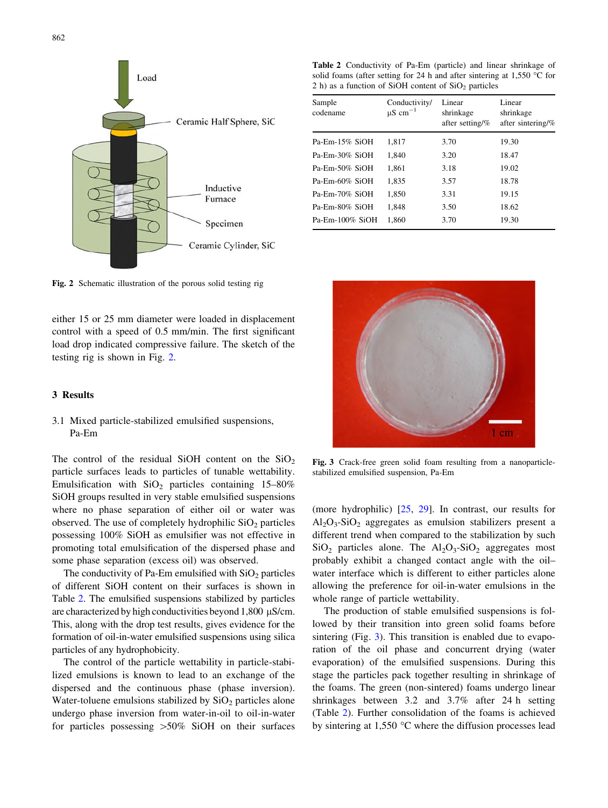<span id="page-3-0"></span>

Table 2 Conductivity of Pa-Em (particle) and linear shrinkage of solid foams (after setting for 24 h and after sintering at 1.550  $\degree$ C for 2 h) as a function of SiOH content of  $SiO<sub>2</sub>$  particles

| Sample<br>codename | Conductivity/<br>$\mu$ S cm <sup>-1</sup> | Linear<br>shrinkage<br>after setting/% | Linear<br>shrinkage<br>after sintering/% |
|--------------------|-------------------------------------------|----------------------------------------|------------------------------------------|
| Pa-Em-15% SiOH     | 1,817                                     | 3.70                                   | 19.30                                    |
| Pa-Em-30% SiOH     | 1.840                                     | 3.20                                   | 18.47                                    |
| Pa-Em-50% SiOH     | 1.861                                     | 3.18                                   | 19.02                                    |
| Pa-Em-60% SiOH     | 1.835                                     | 3.57                                   | 18.78                                    |
| Pa-Em-70% SiOH     | 1.850                                     | 3.31                                   | 19.15                                    |
| Pa-Em-80% SiOH     | 1.848                                     | 3.50                                   | 18.62                                    |
| $Pa$ -Em-100% SiOH | 1,860                                     | 3.70                                   | 19.30                                    |

Fig. 2 Schematic illustration of the porous solid testing rig

either 15 or 25 mm diameter were loaded in displacement control with a speed of 0.5 mm/min. The first significant load drop indicated compressive failure. The sketch of the testing rig is shown in Fig. 2.

## 3 Results

## 3.1 Mixed particle-stabilized emulsified suspensions, Pa-Em

The control of the residual SiOH content on the  $SiO<sub>2</sub>$ particle surfaces leads to particles of tunable wettability. Emulsification with  $SiO<sub>2</sub>$  particles containing 15–80% SiOH groups resulted in very stable emulsified suspensions where no phase separation of either oil or water was observed. The use of completely hydrophilic  $SiO<sub>2</sub>$  particles possessing 100% SiOH as emulsifier was not effective in promoting total emulsification of the dispersed phase and some phase separation (excess oil) was observed.

The conductivity of Pa-Em emulsified with  $SiO<sub>2</sub>$  particles of different SiOH content on their surfaces is shown in Table 2. The emulsified suspensions stabilized by particles are characterized by high conductivities beyond  $1,800 \mu S/cm$ . This, along with the drop test results, gives evidence for the formation of oil-in-water emulsified suspensions using silica particles of any hydrophobicity.

The control of the particle wettability in particle-stabilized emulsions is known to lead to an exchange of the dispersed and the continuous phase (phase inversion). Water-toluene emulsions stabilized by  $SiO<sub>2</sub>$  particles alone undergo phase inversion from water-in-oil to oil-in-water for particles possessing  $>50\%$  SiOH on their surfaces



Fig. 3 Crack-free green solid foam resulting from a nanoparticlestabilized emulsified suspension, Pa-Em

(more hydrophilic) [[25,](#page-8-0) [29](#page-8-0)]. In contrast, our results for  $Al_2O_3-SiO_2$  aggregates as emulsion stabilizers present a different trend when compared to the stabilization by such  $SiO<sub>2</sub>$  particles alone. The  $Al<sub>2</sub>O<sub>3</sub>$ -SiO<sub>2</sub> aggregates most probably exhibit a changed contact angle with the oil– water interface which is different to either particles alone allowing the preference for oil-in-water emulsions in the whole range of particle wettability.

The production of stable emulsified suspensions is followed by their transition into green solid foams before sintering (Fig. 3). This transition is enabled due to evaporation of the oil phase and concurrent drying (water evaporation) of the emulsified suspensions. During this stage the particles pack together resulting in shrinkage of the foams. The green (non-sintered) foams undergo linear shrinkages between 3.2 and 3.7% after 24 h setting (Table 2). Further consolidation of the foams is achieved by sintering at  $1,550$  °C where the diffusion processes lead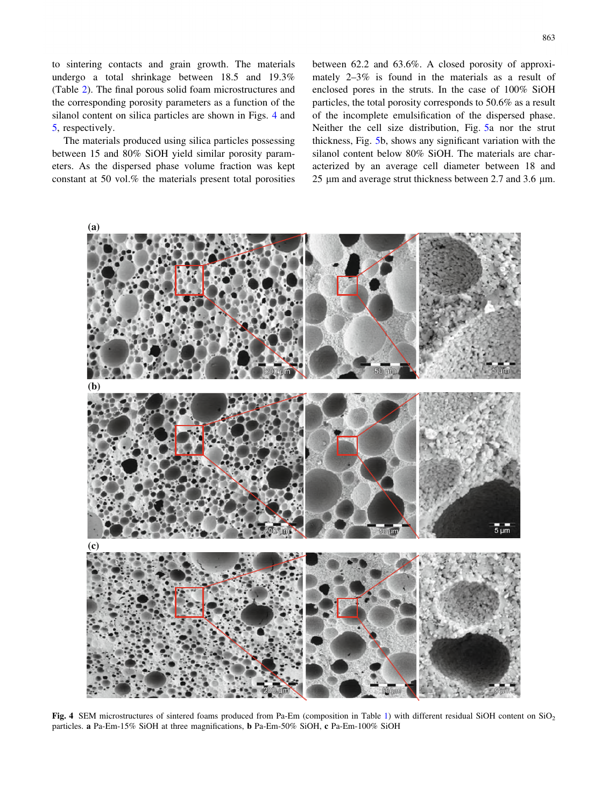to sintering contacts and grain growth. The materials undergo a total shrinkage between 18.5 and 19.3% (Table [2](#page-3-0)). The final porous solid foam microstructures and the corresponding porosity parameters as a function of the silanol content on silica particles are shown in Figs. 4 and [5](#page-5-0), respectively.

The materials produced using silica particles possessing between 15 and 80% SiOH yield similar porosity parameters. As the dispersed phase volume fraction was kept constant at 50 vol.% the materials present total porosities between 62.2 and 63.6%. A closed porosity of approximately 2–3% is found in the materials as a result of enclosed pores in the struts. In the case of 100% SiOH particles, the total porosity corresponds to 50.6% as a result of the incomplete emulsification of the dispersed phase. Neither the cell size distribution, Fig. [5a](#page-5-0) nor the strut thickness, Fig. [5b](#page-5-0), shows any significant variation with the silanol content below 80% SiOH. The materials are characterized by an average cell diameter between 18 and 25  $\mu$ m and average strut thickness between 2.7 and 3.6  $\mu$ m.



Fig. 4 SEM microstructures of sintered foams produced from Pa-Em (composition in Table [1](#page-2-0)) with different residual SiOH content on SiO<sub>2</sub> particles. a Pa-Em-15% SiOH at three magnifications, b Pa-Em-50% SiOH, c Pa-Em-100% SiOH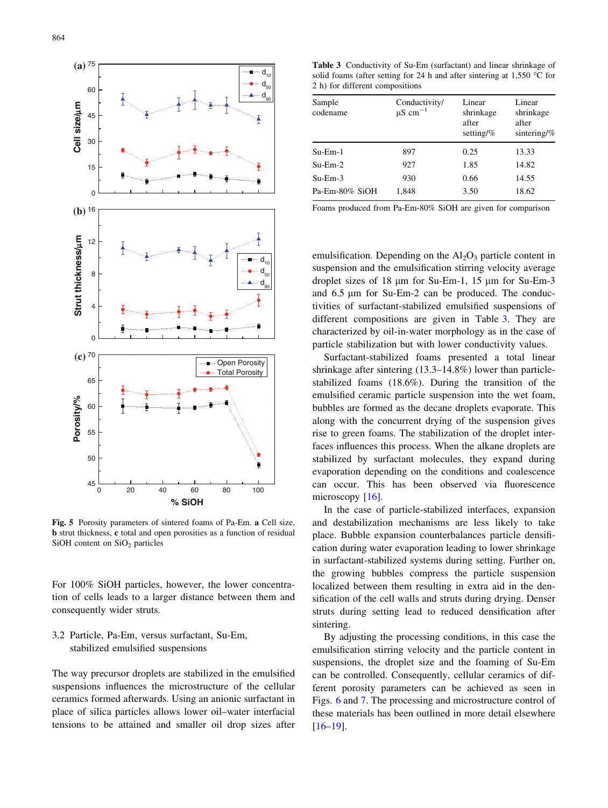<span id="page-5-0"></span>

Fig. 5 Porosity parameters of sintered foams of Pa-Em. a Cell size, b strut thickness, c total and open porosities as a function of residual SiOH content on  $SiO<sub>2</sub>$  particles

For 100% SiOH particles, however, the lower concentration of cells leads to a larger distance between them and consequently wider struts.

3.2 Particle, Pa-Em, versus surfactant, Su-Em, stabilized emulsified suspensions

The way precursor droplets are stabilized in the emulsified suspensions influences the microstructure of the cellular ceramics formed afterwards. Using an anionic surfactant in place of silica particles allows lower oil–water interfacial tensions to be attained and smaller oil drop sizes after

Table 3 Conductivity of Su-Em (surfactant) and linear shrinkage of solid foams (after setting for 24 h and after sintering at  $1.550$  °C for 2 h) for different compositions

| Sample<br>codename | Conductivity/<br>$\mu$ S cm <sup>-1</sup> | Linear<br>shrinkage<br>after<br>setting/ $%$ | Linear<br>shrinkage<br>after<br>sintering/ $%$ |
|--------------------|-------------------------------------------|----------------------------------------------|------------------------------------------------|
| $Su-Em-1$          | 897                                       | 0.25                                         | 13.33                                          |
| $Su-Em-2$          | 927                                       | 1.85                                         | 14.82                                          |
| $Su-Em-3$          | 930                                       | 0.66                                         | 14.55                                          |
| Pa-Em-80% SiOH     | 1,848                                     | 3.50                                         | 18.62                                          |
|                    |                                           |                                              |                                                |

Foams produced from Pa-Em-80% SiOH are given for comparison

emulsification. Depending on the  $Al_2O_3$  particle content in suspension and the emulsification stirring velocity average droplet sizes of 18 µm for Su-Em-1, 15 µm for Su-Em-3 and  $6.5 \mu m$  for Su-Em-2 can be produced. The conductivities of surfactant-stabilized emulsified suspensions of different compositions are given in Table 3. They are characterized by oil-in-water morphology as in the case of particle stabilization but with lower conductivity values.

Surfactant-stabilized foams presented a total linear shrinkage after sintering (13.3–14.8%) lower than particlestabilized foams (18.6%). During the transition of the emulsified ceramic particle suspension into the wet foam, bubbles are formed as the decane droplets evaporate. This along with the concurrent drying of the suspension gives rise to green foams. The stabilization of the droplet interfaces influences this process. When the alkane droplets are stabilized by surfactant molecules, they expand during evaporation depending on the conditions and coalescence can occur. This has been observed via fluorescence microscopy [\[16](#page-8-0)].

In the case of particle-stabilized interfaces, expansion and destabilization mechanisms are less likely to take place. Bubble expansion counterbalances particle densification during water evaporation leading to lower shrinkage in surfactant-stabilized systems during setting. Further on, the growing bubbles compress the particle suspension localized between them resulting in extra aid in the densification of the cell walls and struts during drying. Denser struts during setting lead to reduced densification after sintering.

By adjusting the processing conditions, in this case the emulsification stirring velocity and the particle content in suspensions, the droplet size and the foaming of Su-Em can be controlled. Consequently, cellular ceramics of different porosity parameters can be achieved as seen in Figs. [6](#page-6-0) and [7.](#page-7-0) The processing and microstructure control of these materials has been outlined in more detail elsewhere [\[16–19](#page-8-0)].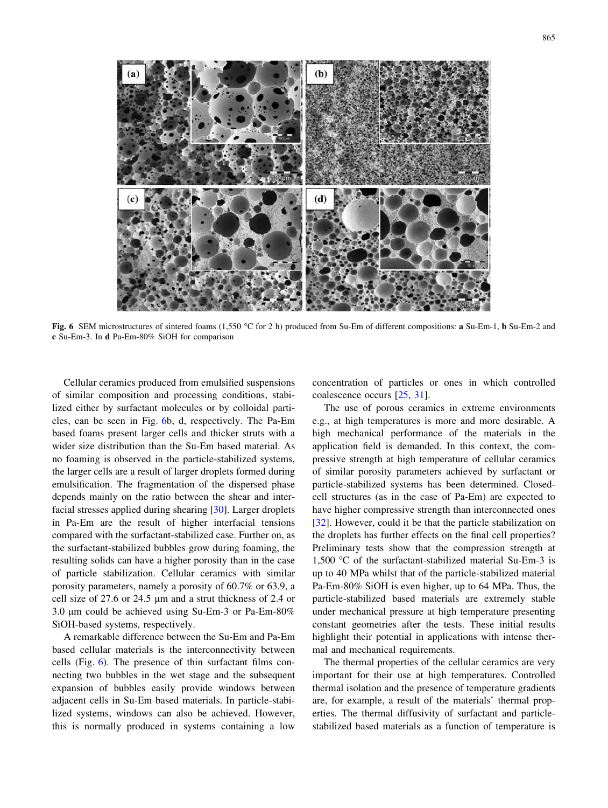<span id="page-6-0"></span>

Fig. 6 SEM microstructures of sintered foams (1,550 °C for 2 h) produced from Su-Em of different compositions: a Su-Em-1, b Su-Em-2 and c Su-Em-3. In d Pa-Em-80% SiOH for comparison

Cellular ceramics produced from emulsified suspensions of similar composition and processing conditions, stabilized either by surfactant molecules or by colloidal particles, can be seen in Fig. 6b, d, respectively. The Pa-Em based foams present larger cells and thicker struts with a wider size distribution than the Su-Em based material. As no foaming is observed in the particle-stabilized systems, the larger cells are a result of larger droplets formed during emulsification. The fragmentation of the dispersed phase depends mainly on the ratio between the shear and interfacial stresses applied during shearing [\[30](#page-8-0)]. Larger droplets in Pa-Em are the result of higher interfacial tensions compared with the surfactant-stabilized case. Further on, as the surfactant-stabilized bubbles grow during foaming, the resulting solids can have a higher porosity than in the case of particle stabilization. Cellular ceramics with similar porosity parameters, namely a porosity of 60.7% or 63.9, a cell size of 27.6 or 24.5 µm and a strut thickness of 2.4 or 3.0 µm could be achieved using Su-Em-3 or Pa-Em-80% SiOH-based systems, respectively.

A remarkable difference between the Su-Em and Pa-Em based cellular materials is the interconnectivity between cells (Fig. 6). The presence of thin surfactant films connecting two bubbles in the wet stage and the subsequent expansion of bubbles easily provide windows between adjacent cells in Su-Em based materials. In particle-stabilized systems, windows can also be achieved. However, this is normally produced in systems containing a low concentration of particles or ones in which controlled coalescence occurs [\[25](#page-8-0), [31\]](#page-8-0).

The use of porous ceramics in extreme environments e.g., at high temperatures is more and more desirable. A high mechanical performance of the materials in the application field is demanded. In this context, the compressive strength at high temperature of cellular ceramics of similar porosity parameters achieved by surfactant or particle-stabilized systems has been determined. Closedcell structures (as in the case of Pa-Em) are expected to have higher compressive strength than interconnected ones [\[32](#page-8-0)]. However, could it be that the particle stabilization on the droplets has further effects on the final cell properties? Preliminary tests show that the compression strength at 1,500 °C of the surfactant-stabilized material Su-Em-3 is up to 40 MPa whilst that of the particle-stabilized material Pa-Em-80% SiOH is even higher, up to 64 MPa. Thus, the particle-stabilized based materials are extremely stable under mechanical pressure at high temperature presenting constant geometries after the tests. These initial results highlight their potential in applications with intense thermal and mechanical requirements.

The thermal properties of the cellular ceramics are very important for their use at high temperatures. Controlled thermal isolation and the presence of temperature gradients are, for example, a result of the materials' thermal properties. The thermal diffusivity of surfactant and particlestabilized based materials as a function of temperature is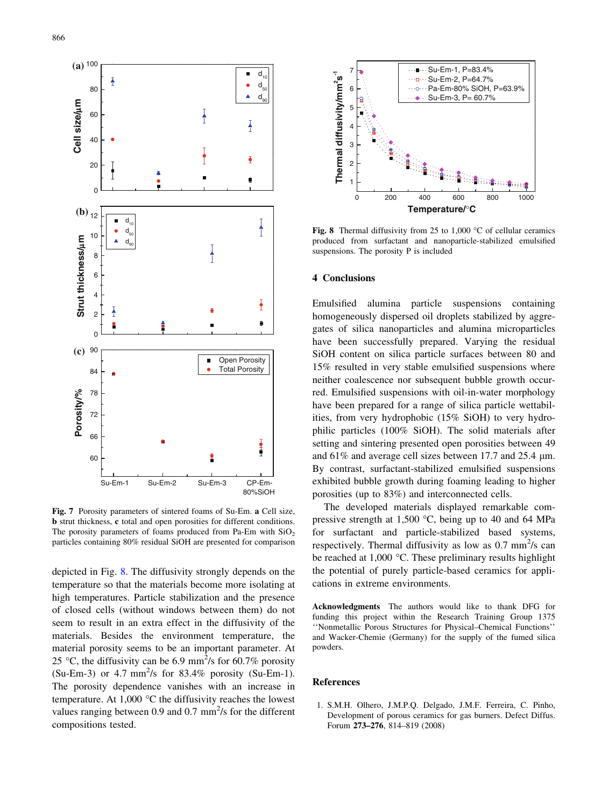<span id="page-7-0"></span>

Fig. 7 Porosity parameters of sintered foams of Su-Em. a Cell size, b strut thickness, c total and open porosities for different conditions. The porosity parameters of foams produced from Pa-Em with  $SiO<sub>2</sub>$ particles containing 80% residual SiOH are presented for comparison

depicted in Fig. 8. The diffusivity strongly depends on the temperature so that the materials become more isolating at high temperatures. Particle stabilization and the presence of closed cells (without windows between them) do not seem to result in an extra effect in the diffusivity of the materials. Besides the environment temperature, the material porosity seems to be an important parameter. At 25 °C, the diffusivity can be 6.9 mm<sup>2</sup>/s for 60.7% porosity  $(Su-Em-3)$  or 4.7 mm<sup>2</sup>/s for 83.4% porosity (Su-Em-1). The porosity dependence vanishes with an increase in temperature. At 1,000  $\degree$ C the diffusivity reaches the lowest values ranging between 0.9 and 0.7 mm<sup>2</sup>/s for the different compositions tested.



Fig. 8 Thermal diffusivity from 25 to 1,000  $\degree$ C of cellular ceramics produced from surfactant and nanoparticle-stabilized emulsified suspensions. The porosity P is included

## 4 Conclusions

Emulsified alumina particle suspensions containing homogeneously dispersed oil droplets stabilized by aggregates of silica nanoparticles and alumina microparticles have been successfully prepared. Varying the residual SiOH content on silica particle surfaces between 80 and 15% resulted in very stable emulsified suspensions where neither coalescence nor subsequent bubble growth occurred. Emulsified suspensions with oil-in-water morphology have been prepared for a range of silica particle wettabilities, from very hydrophobic (15% SiOH) to very hydrophilic particles (100% SiOH). The solid materials after setting and sintering presented open porosities between 49 and  $61\%$  and average cell sizes between 17.7 and 25.4  $\mu$ m. By contrast, surfactant-stabilized emulsified suspensions exhibited bubble growth during foaming leading to higher porosities (up to 83%) and interconnected cells.

The developed materials displayed remarkable compressive strength at 1,500  $\degree$ C, being up to 40 and 64 MPa for surfactant and particle-stabilized based systems, respectively. Thermal diffusivity as low as  $0.7 \text{ mm}^2/\text{s}$  can be reached at  $1,000$  °C. These preliminary results highlight the potential of purely particle-based ceramics for applications in extreme environments.

Acknowledgments The authors would like to thank DFG for funding this project within the Research Training Group 1375 ''Nonmetallic Porous Structures for Physical–Chemical Functions'' and Wacker-Chemie (Germany) for the supply of the fumed silica powders.

#### References

1. S.M.H. Olhero, J.M.P.Q. Delgado, J.M.F. Ferreira, C. Pinho, Development of porous ceramics for gas burners. Defect Diffus. Forum 273–276, 814–819 (2008)